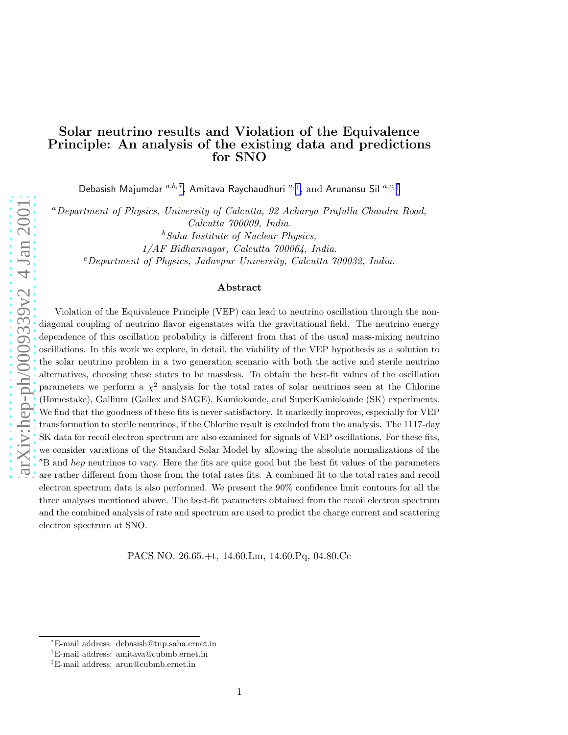# Solar neutrino results and Violation of the Equivalence Principle: An analysis of the existing data and predictions for SNO

Debasish Majumdar  ${}^{a,b,\ast},$  Amitava Raychaudhuri  ${}^{a,\dagger},$  and Arunansu Sil  ${}^{a,c,\ddagger}$ 

<sup>a</sup>Department of Physics, University of Calcutta, 92 Acharya Prafulla Chandra Road, Calcutta 700009, India.

 $b$ Saha Institute of Nuclear Physics,

1/AF Bidhannagar, Calcutta 700064, India.

 $c$ Department of Physics, Jadavpur University, Calcutta 700032, India.

#### Abstract

Violation of the Equivalence Principle (VEP) can lead to neutrino oscillation through the nondiagonal coupling of neutrino flavor eigenstates with the gravitational field. The neutrino energy dependence of this oscillation probability is different from that of the usual mass-mixing neutrino oscillations. In this work we explore, in detail, the viability of the VEP hypothesis as a solution to the solar neutrino problem in a two generation scenario with both the active and sterile neutrino alternatives, choosing these states to be massless. To obtain the best-fit values of the oscillation parameters we perform a  $\chi^2$  analysis for the total rates of solar neutrinos seen at the Chlorine (Homestake), Gallium (Gallex and SAGE), Kamiokande, and SuperKamiokande (SK) experiments. We find that the goodness of these fits is never satisfactory. It markedly improves, especially for VEP transformation to sterile neutrinos, if the Chlorine result is excluded from the analysis. The 1117-day SK data for recoil electron spectrum are also examined for signals of VEP oscillations. For these fits, we consider variations of the Standard Solar Model by allowing the absolute normalizations of the <sup>8</sup>B and *hep* neutrinos to vary. Here the fits are quite good but the best fit values of the parameters are rather different from those from the total rates fits. A combined fit to the total rates and recoil electron spectrum data is also performed. We present the 90% confidence limit contours for all the three analyses mentioned above. The best-fit parameters obtained from the recoil electron spectrum and the combined analysis of rate and spectrum are used to predict the charge current and scattering electron spectrum at SNO.

PACS NO. 26.65.+t, 14.60.Lm, 14.60.Pq, 04.80.Cc

<sup>∗</sup>E-mail address: debasish@tnp.saha.ernet.in

<sup>†</sup>E-mail address: amitava@cubmb.ernet.in

<sup>‡</sup>E-mail address: arun@cubmb.ernet.in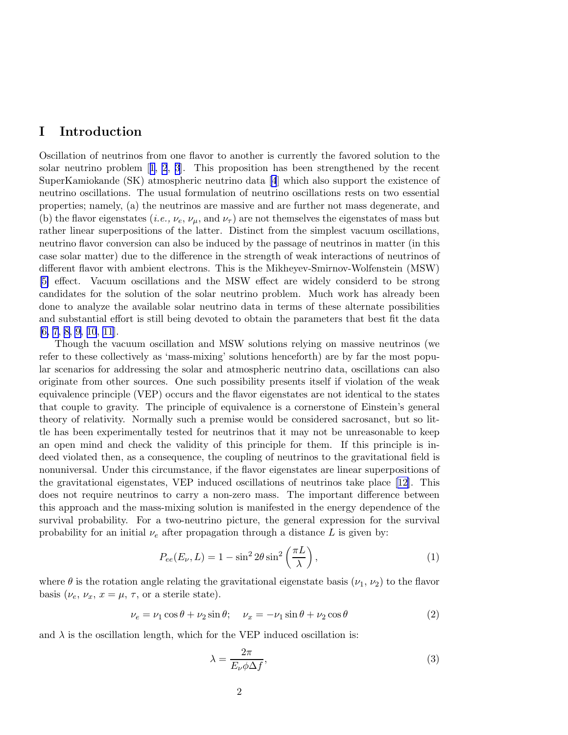# <span id="page-1-0"></span>I Introduction

Oscillation of neutrinos from one flavor to another is currently the favored solution to the solar neutrino problem[[1](#page-15-0), [2](#page-15-0), [3](#page-15-0)]. This proposition has been strengthened by the recent SuperKamiokande (SK) atmospheric neutrino data [\[4](#page-16-0)] which also support the existence of neutrino oscillations. The usual formulation of neutrino oscillations rests on two essential properties; namely, (a) the neutrinos are massive and are further not mass degenerate, and (b) the flavor eigenstates (*i.e.*,  $\nu_e$ ,  $\nu_\mu$ , and  $\nu_\tau$ ) are not themselves the eigenstates of mass but rather linear superpositions of the latter. Distinct from the simplest vacuum oscillations, neutrino flavor conversion can also be induced by the passage of neutrinos in matter (in this case solar matter) due to the difference in the strength of weak interactions of neutrinos of different flavor with ambient electrons. This is the Mikheyev-Smirnov-Wolfenstein (MSW) [\[5\]](#page-16-0) effect. Vacuum oscillations and the MSW effect are widely considerd to be strong candidates for the solution of the solar neutrino problem. Much work has already been done to analyze the available solar neutrino data in terms of these alternate possibilities and substantial effort is still being devoted to obtain the parameters that best fit the data [\[6, 7, 8, 9, 10](#page-16-0), [11](#page-16-0)].

Though the vacuum oscillation and MSW solutions relying on massive neutrinos (we refer to these collectively as 'mass-mixing' solutions henceforth) are by far the most popular scenarios for addressing the solar and atmospheric neutrino data, oscillations can also originate from other sources. One such possibility presents itself if violation of the weak equivalence principle (VEP) occurs and the flavor eigenstates are not identical to the states that couple to gravity. The principle of equivalence is a cornerstone of Einstein's general theory of relativity. Normally such a premise would be considered sacrosanct, but so little has been experimentally tested for neutrinos that it may not be unreasonable to keep an open mind and check the validity of this principle for them. If this principle is indeed violated then, as a consequence, the coupling of neutrinos to the gravitational field is nonuniversal. Under this circumstance, if the flavor eigenstates are linear superpositions of the gravitational eigenstates, VEP induced oscillations of neutrinos take place[[12\]](#page-16-0). This does not require neutrinos to carry a non-zero mass. The important difference between this approach and the mass-mixing solution is manifested in the energy dependence of the survival probability. For a two-neutrino picture, the general expression for the survival probability for an initial  $\nu_e$  after propagation through a distance L is given by:

$$
P_{ee}(E_{\nu}, L) = 1 - \sin^2 2\theta \sin^2 \left(\frac{\pi L}{\lambda}\right),\tag{1}
$$

where  $\theta$  is the rotation angle relating the gravitational eigenstate basis  $(\nu_1, \nu_2)$  to the flavor basis  $(\nu_e, \nu_x, x = \mu, \tau, \text{ or a sterile state}).$ 

$$
\nu_e = \nu_1 \cos \theta + \nu_2 \sin \theta; \quad \nu_x = -\nu_1 \sin \theta + \nu_2 \cos \theta \tag{2}
$$

and  $\lambda$  is the oscillation length, which for the VEP induced oscillation is:

$$
\lambda = \frac{2\pi}{E_{\nu}\phi\Delta f},\tag{3}
$$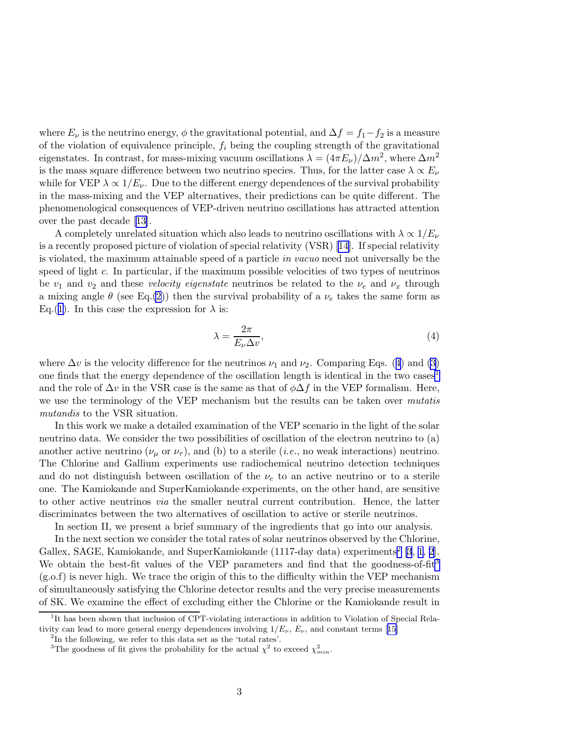where  $E_{\nu}$  is the neutrino energy,  $\phi$  the gravitational potential, and  $\Delta f = f_1 - f_2$  is a measure of the violation of equivalence principle,  $f_i$  being the coupling strength of the gravitational eigenstates. In contrast, for mass-mixing vacuum oscillations  $\lambda = (4\pi E_\nu)/\Delta m^2$ , where  $\Delta m^2$ is the mass square difference between two neutrino species. Thus, for the latter case  $\lambda \propto E_{\nu}$ while for VEP  $\lambda \propto 1/E_{\nu}$ . Due to the different energy dependences of the survival probability in the mass-mixing and the VEP alternatives, their predictions can be quite different. The phenomenological consequences of VEP-driven neutrino oscillations has attracted attention over the past decade[[13\]](#page-16-0).

A completely unrelated situation which also leads to neutrino oscillations with  $\lambda \propto 1/E_{\nu}$ is a recently proposed picture of violation of special relativity (VSR)[[14\]](#page-16-0). If special relativity is violated, the maximum attainable speed of a particle in vacuo need not universally be the speed of light  $c$ . In particular, if the maximum possible velocities of two types of neutrinos be  $v_1$  and  $v_2$  and these *velocity eigenstate* neutrinos be related to the  $\nu_e$  and  $\nu_x$  through a mixing angle  $\theta$  (see Eq.[\(2\)](#page-1-0)) then the survival probability of a  $\nu_e$  takes the same form as Eq.([1\)](#page-1-0). In this case the expression for  $\lambda$  is:

$$
\lambda = \frac{2\pi}{E_{\nu}\Delta v},\tag{4}
$$

where  $\Delta v$  is the velocity difference for the neutrinos  $\nu_1$  and  $\nu_2$ . Comparing Eqs. (4) and [\(3\)](#page-1-0) one finds that the energy dependence of the oscillation length is identical in the two cases<sup>1</sup> and the role of  $\Delta v$  in the VSR case is the same as that of  $\phi \Delta f$  in the VEP formalism. Here, we use the terminology of the VEP mechanism but the results can be taken over *mutatis* mutandis to the VSR situation.

In this work we make a detailed examination of the VEP scenario in the light of the solar neutrino data. We consider the two possibilities of oscillation of the electron neutrino to (a) another active neutrino ( $\nu_{\mu}$  or  $\nu_{\tau}$ ), and (b) to a sterile (*i.e.*, no weak interactions) neutrino. The Chlorine and Gallium experiments use radiochemical neutrino detection techniques and do not distinguish between oscillation of the  $\nu_e$  to an active neutrino or to a sterile one. The Kamiokande and SuperKamiokande experiments, on the other hand, are sensitive to other active neutrinos via the smaller neutral current contribution. Hence, the latter discriminates between the two alternatives of oscillation to active or sterile neutrinos.

In section II, we present a brief summary of the ingredients that go into our analysis.

In the next section we consider the total rates of solar neutrinos observed by the Chlorine, Gallex, SAGE, Kamiokande, and SuperKamiokande (1117-day data) experiments<sup>2</sup> [[3](#page-15-0), [1](#page-15-0), [2](#page-15-0)]. We obtain the best-fit values of the VEP parameters and find that the goodness-of-fit<sup>3</sup>  $(g.o.f)$  is never high. We trace the origin of this to the difficulty within the VEP mechanism of simultaneously satisfying the Chlorine detector results and the very precise measurements of SK. We examine the effect of excluding either the Chlorine or the Kamiokande result in

<sup>&</sup>lt;sup>1</sup>It has been shown that inclusion of CPT-violating interactions in addition to Violation of Special Relativitycan lead to more general energy dependences involving  $1/E_{\nu}$ ,  $E_{\nu}$ , and constant terms [[15](#page-16-0)]

<sup>&</sup>lt;sup>2</sup>In the following, we refer to this data set as the 'total rates'.

<sup>&</sup>lt;sup>3</sup>The goodness of fit gives the probability for the actual  $\chi^2$  to exceed  $\chi^2_{min}$ .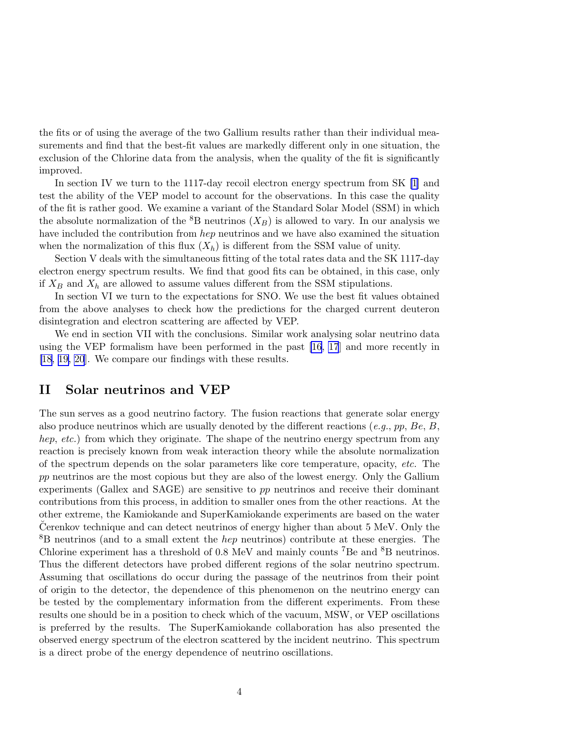the fits or of using the average of the two Gallium results rather than their individual measurements and find that the best-fit values are markedly different only in one situation, the exclusion of the Chlorine data from the analysis, when the quality of the fit is significantly improved.

In section IV we turn to the 1117-day recoil electron energy spectrum from SK [\[1\]](#page-15-0) and test the ability of the VEP model to account for the observations. In this case the quality of the fit is rather good. We examine a variant of the Standard Solar Model (SSM) in which the absolute normalization of the  ${}^{8}B$  neutrinos  $(X_B)$  is allowed to vary. In our analysis we have included the contribution from hep neutrinos and we have also examined the situation when the normalization of this flux  $(X_h)$  is different from the SSM value of unity.

Section V deals with the simultaneous fitting of the total rates data and the SK 1117-day electron energy spectrum results. We find that good fits can be obtained, in this case, only if  $X_B$  and  $X_h$  are allowed to assume values different from the SSM stipulations.

In section VI we turn to the expectations for SNO. We use the best fit values obtained from the above analyses to check how the predictions for the charged current deuteron disintegration and electron scattering are affected by VEP.

We end in section VII with the conclusions. Similar work analysing solar neutrino data using the VEP formalism have been performed in the past [\[16](#page-16-0), [17](#page-16-0)] and more recently in [\[18](#page-16-0), [19,](#page-16-0) [20](#page-17-0)]. We compare our findings with these results.

### II Solar neutrinos and VEP

The sun serves as a good neutrino factory. The fusion reactions that generate solar energy also produce neutrinos which are usually denoted by the different reactions  $(e.g., pp, Be, B,$ hep, etc.) from which they originate. The shape of the neutrino energy spectrum from any reaction is precisely known from weak interaction theory while the absolute normalization of the spectrum depends on the solar parameters like core temperature, opacity, etc. The pp neutrinos are the most copious but they are also of the lowest energy. Only the Gallium experiments (Gallex and SAGE) are sensitive to pp neutrinos and receive their dominant contributions from this process, in addition to smaller ones from the other reactions. At the other extreme, the Kamiokande and SuperKamiokande experiments are based on the water Cerenkov technique and can detect neutrinos of energy higher than about  $5 \text{ MeV}$ . Only the <sup>8</sup>B neutrinos (and to a small extent the hep neutrinos) contribute at these energies. The Chlorine experiment has a threshold of 0.8 MeV and mainly counts <sup>7</sup>Be and <sup>8</sup>B neutrinos. Thus the different detectors have probed different regions of the solar neutrino spectrum. Assuming that oscillations do occur during the passage of the neutrinos from their point of origin to the detector, the dependence of this phenomenon on the neutrino energy can be tested by the complementary information from the different experiments. From these results one should be in a position to check which of the vacuum, MSW, or VEP oscillations is preferred by the results. The SuperKamiokande collaboration has also presented the observed energy spectrum of the electron scattered by the incident neutrino. This spectrum is a direct probe of the energy dependence of neutrino oscillations.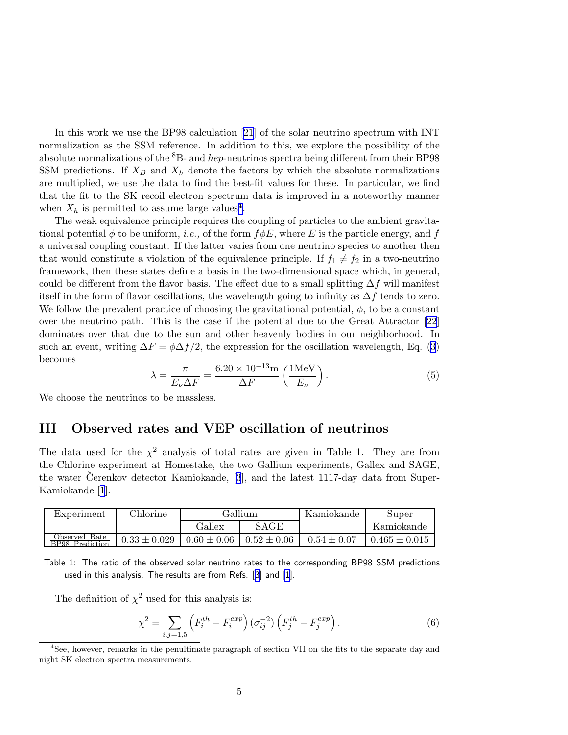<span id="page-4-0"></span>In this work we use the BP98 calculation[[21](#page-17-0)] of the solar neutrino spectrum with INT normalization as the SSM reference. In addition to this, we explore the possibility of the absolute normalizations of the  ${}^{8}B$ - and *hep*-neutrinos spectra being different from their BP98 SSM predictions. If  $X_B$  and  $X_h$  denote the factors by which the absolute normalizations are multiplied, we use the data to find the best-fit values for these. In particular, we find that the fit to the SK recoil electron spectrum data is improved in a noteworthy manner when  $X_h$  is permitted to assume large values<sup>4</sup>.

The weak equivalence principle requires the coupling of particles to the ambient gravitational potential  $\phi$  to be uniform, *i.e.*, of the form  $f \phi E$ , where E is the particle energy, and f a universal coupling constant. If the latter varies from one neutrino species to another then that would constitute a violation of the equivalence principle. If  $f_1 \neq f_2$  in a two-neutrino framework, then these states define a basis in the two-dimensional space which, in general, could be different from the flavor basis. The effect due to a small splitting  $\Delta f$  will manifest itself in the form of flavor oscillations, the wavelength going to infinity as  $\Delta f$  tends to zero. We follow the prevalent practice of choosing the gravitational potential,  $\phi$ , to be a constant over the neutrino path. This is the case if the potential due to the Great Attractor [\[22](#page-17-0)] dominates over that due to the sun and other heavenly bodies in our neighborhood. In such an event, writing  $\Delta F = \phi \Delta f/2$ , the expression for the oscillation wavelength, Eq. [\(3\)](#page-1-0) becomes

$$
\lambda = \frac{\pi}{E_{\nu}\Delta F} = \frac{6.20 \times 10^{-13} \text{m}}{\Delta F} \left(\frac{1 \text{MeV}}{E_{\nu}}\right). \tag{5}
$$

We choose the neutrinos to be massless.

## III Observed rates and VEP oscillation of neutrinos

The data used for the  $\chi^2$  analysis of total rates are given in Table 1. They are from the Chlorine experiment at Homestake, the two Gallium experiments, Gallex and SAGE, thewater Cerenkov detector Kamiokande,  $[3]$  $[3]$  $[3]$ , and the latest 1117-day data from Super-Kamiokande[[1](#page-15-0)].

| Experiment                             | <b>Chlorine</b>  | Gallium-        |                 | Kamiokande      | Super             |
|----------------------------------------|------------------|-----------------|-----------------|-----------------|-------------------|
|                                        |                  | SAGE<br>Gallex  |                 |                 | Kamiokande        |
| Rate<br>Observed<br>Prediction<br>RP98 | $0.33 \pm 0.029$ | $0.60 \pm 0.06$ | $0.52 \pm 0.06$ | $0.54 \pm 0.07$ | $0.465 \pm 0.015$ |

Table 1: The ratio of the observed solar neutrino rates to the corresponding BP98 SSM predictions used in this analysis. The results are from Refs. [\[3\]](#page-15-0) and [\[1](#page-15-0)].

The definition of  $\chi^2$  used for this analysis is:

$$
\chi^2 = \sum_{i,j=1,5} \left( F_i^{th} - F_i^{exp} \right) (\sigma_{ij}^{-2}) \left( F_j^{th} - F_j^{exp} \right). \tag{6}
$$

<sup>&</sup>lt;sup>4</sup>See, however, remarks in the penultimate paragraph of section VII on the fits to the separate day and night SK electron spectra measurements.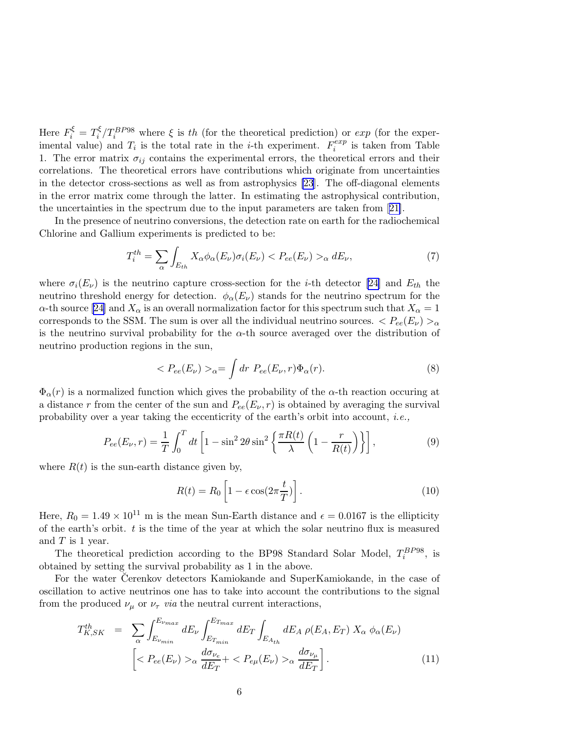<span id="page-5-0"></span>Here  $F_i^{\xi} = T_i^{\xi}$ <sup>ξ</sup>/ $T_i^{BP98}$  where ξ is th (for the theoretical prediction) or exp (for the experimental value) and  $T_i$  is the total rate in the *i*-th experiment.  $F_i^{exp}$  $e^{exp}$  is taken from Table 1. The error matrix  $\sigma_{ij}$  contains the experimental errors, the theoretical errors and their correlations. The theoretical errors have contributions which originate from uncertainties in the detector cross-sections as well as from astrophysics [\[23](#page-17-0)]. The off-diagonal elements in the error matrix come through the latter. In estimating the astrophysical contribution, the uncertainties in the spectrum due to the input parameters are taken from[[21\]](#page-17-0).

In the presence of neutrino conversions, the detection rate on earth for the radiochemical Chlorine and Gallium experiments is predicted to be:

$$
T_i^{th} = \sum_{\alpha} \int_{E_{th}} X_{\alpha} \phi_{\alpha}(E_{\nu}) \sigma_i(E_{\nu}) < P_{ee}(E_{\nu}) >_{\alpha} dE_{\nu},\tag{7}
$$

where  $\sigma_i(E_\nu)$  is the neutrino capture cross-section for the *i*-th detector [\[24](#page-17-0)] and  $E_{th}$  the neutrino threshold energy for detection.  $\phi_{\alpha}(E_{\nu})$  stands for the neutrino spectrum for the  $\alpha$ -thsource [[24\]](#page-17-0) and  $X_{\alpha}$  is an overall normalization factor for this spectrum such that  $X_{\alpha} = 1$ corresponds to the SSM. The sum is over all the individual neutrino sources.  $\langle Pe_e(E_\nu)\rangle_{\alpha}$ is the neutrino survival probability for the  $\alpha$ -th source averaged over the distribution of neutrino production regions in the sun,

$$
\langle P_{ee}(E_{\nu})\rangle_{\alpha} = \int dr P_{ee}(E_{\nu},r)\Phi_{\alpha}(r). \tag{8}
$$

 $\Phi_{\alpha}(r)$  is a normalized function which gives the probability of the  $\alpha$ -th reaction occuring at a distance r from the center of the sun and  $P_{ee}(E_{\nu}, r)$  is obtained by averaging the survival probability over a year taking the eccenticrity of the earth's orbit into account, *i.e.*,

$$
P_{ee}(E_{\nu},r) = \frac{1}{T} \int_0^T dt \left[ 1 - \sin^2 2\theta \sin^2 \left\{ \frac{\pi R(t)}{\lambda} \left( 1 - \frac{r}{R(t)} \right) \right\} \right],\tag{9}
$$

where  $R(t)$  is the sun-earth distance given by,

$$
R(t) = R_0 \left[ 1 - \epsilon \cos(2\pi \frac{t}{T}) \right].
$$
 (10)

Here,  $R_0 = 1.49 \times 10^{11}$  m is the mean Sun-Earth distance and  $\epsilon = 0.0167$  is the ellipticity of the earth's orbit.  $t$  is the time of the year at which the solar neutrino flux is measured and  $T$  is 1 year.

The theoretical prediction according to the BP98 Standard Solar Model,  $T_i^{BPP8}$ , is obtained by setting the survival probability as 1 in the above.

For the water Cerenkov detectors Kamiokande and SuperKamiokande, in the case of oscillation to active neutrinos one has to take into account the contributions to the signal from the produced  $\nu_{\mu}$  or  $\nu_{\tau}$  *via* the neutral current interactions,

$$
T_{K,SK}^{th} = \sum_{\alpha} \int_{E_{\nu_{min}}}^{E_{\nu_{max}}} dE_{\nu} \int_{E_{T_{min}}}^{E_{T_{max}}} dE_{T} \int_{E_{A_{th}}} dE_{A} \rho(E_{A}, E_{T}) X_{\alpha} \phi_{\alpha}(E_{\nu})
$$

$$
\left[ \langle P_{ee}(E_{\nu}) \rangle_{\alpha} \frac{d\sigma_{\nu_{e}}}{dE_{T}} + \langle P_{e\mu}(E_{\nu}) \rangle_{\alpha} \frac{d\sigma_{\nu_{\mu}}}{dE_{T}} \right]. \tag{11}
$$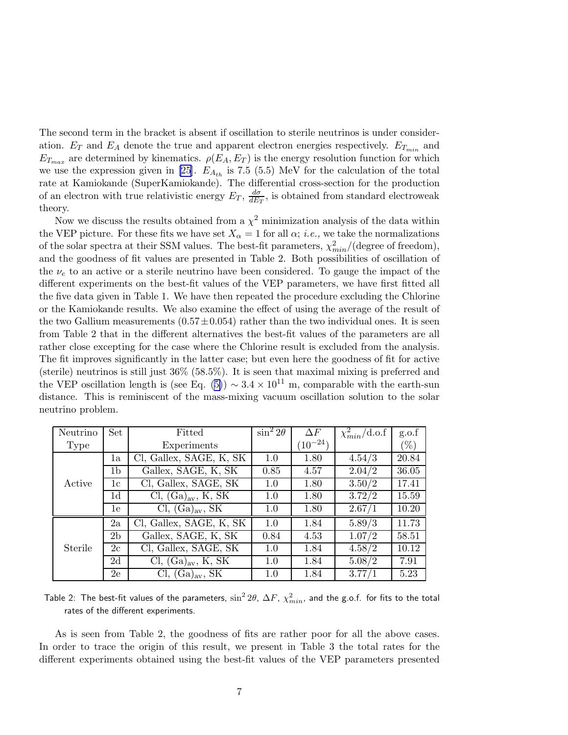The second term in the bracket is absent if oscillation to sterile neutrinos is under consideration.  $E_T$  and  $E_A$  denote the true and apparent electron energies respectively.  $E_{T_{min}}$  and  $E_{T_{max}}$  are determined by kinematics.  $\rho(E_A, E_T)$  is the energy resolution function for which we use the expression given in [\[25](#page-17-0)].  $E_{A_{th}}$  is 7.5 (5.5) MeV for the calculation of the total rate at Kamiokande (SuperKamiokande). The differential cross-section for the production of an electron with true relativistic energy  $E_T$ ,  $\frac{d\sigma}{dE}$  $\frac{d\sigma}{dE_T}$ , is obtained from standard electroweak theory.

Now we discuss the results obtained from a  $\chi^2$  minimization analysis of the data within the VEP picture. For these fits we have set  $X_{\alpha} = 1$  for all  $\alpha$ ; *i.e.*, we take the normalizations of the solar spectra at their SSM values. The best-fit parameters,  $\chi^2_{min}/(\text{degree of freedom})$ , and the goodness of fit values are presented in Table 2. Both possibilities of oscillation of the  $\nu_e$  to an active or a sterile neutrino have been considered. To gauge the impact of the different experiments on the best-fit values of the VEP parameters, we have first fitted all the five data given in Table 1. We have then repeated the procedure excluding the Chlorine or the Kamiokande results. We also examine the effect of using the average of the result of the two Gallium measurements  $(0.57 \pm 0.054)$  rather than the two individual ones. It is seen from Table 2 that in the different alternatives the best-fit values of the parameters are all rather close excepting for the case where the Chlorine result is excluded from the analysis. The fit improves significantly in the latter case; but even here the goodness of fit for active (sterile) neutrinos is still just 36% (58.5%). It is seen that maximal mixing is preferred and the VEP oscillation length is (see Eq. [\(5\)](#page-4-0))  $\sim 3.4 \times 10^{11}$  m, comparable with the earth-sun distance. This is reminiscent of the mass-mixing vacuum oscillation solution to the solar neutrino problem.

| Neutrino | Set            | Fitted                      | $\sin^2 2\theta$ | $\Delta F$   | $\overline{\chi^2_{min}}$ d.o.f | g.o.f  |
|----------|----------------|-----------------------------|------------------|--------------|---------------------------------|--------|
| Type     |                | Experiments                 |                  | $(10^{-24})$ |                                 | $(\%)$ |
|          | 1a             | Cl, Gallex, SAGE, K, SK     | 1.0              | 1.80         | 4.54/3                          | 20.84  |
|          | 1b             | Gallex, SAGE, K, SK         | 0.85             | 4.57         | 2.04/2                          | 36.05  |
| Active   | 1c             | Cl, Gallex, SAGE, SK        | 1.0              | 1.80         | 3.50/2                          | 17.41  |
|          | 1d             | $Cl, (Ga)_{av}, K, SK$      | 1.0              | 1.80         | 3.72/2                          | 15.59  |
|          | 1e             | Cl, (Ga) <sub>av</sub> , SK | 1.0              | 1.80         | 2.67/1                          | 10.20  |
|          | 2a             | Cl, Gallex, SAGE, K, SK     | 1.0              | 1.84         | 5.89/3                          | 11.73  |
| Sterile  | 2 <sub>b</sub> | Gallex, SAGE, K, SK         | 0.84             | 4.53         | 1.07/2                          | 58.51  |
|          | 2c             | Cl, Gallex, SAGE, SK        | 1.0              | 1.84         | 4.58/2                          | 10.12  |
|          | 2d             | Cl, $(Ga)_{av}$ , K, SK     | 1.0              | 1.84         | 5.08/2                          | 7.91   |
|          | 2e             | $Cl, (Ga)_{av}, SK$         | 1.0              | 1.84         | 3.77/1                          | 5.23   |

Table 2: The best-fit values of the parameters,  $\sin^2 2\theta$ ,  $\Delta F$ ,  $\chi^2_{min}$ , and the g.o.f. for fits to the total rates of the different experiments.

As is seen from Table 2, the goodness of fits are rather poor for all the above cases. In order to trace the origin of this result, we present in Table 3 the total rates for the different experiments obtained using the best-fit values of the VEP parameters presented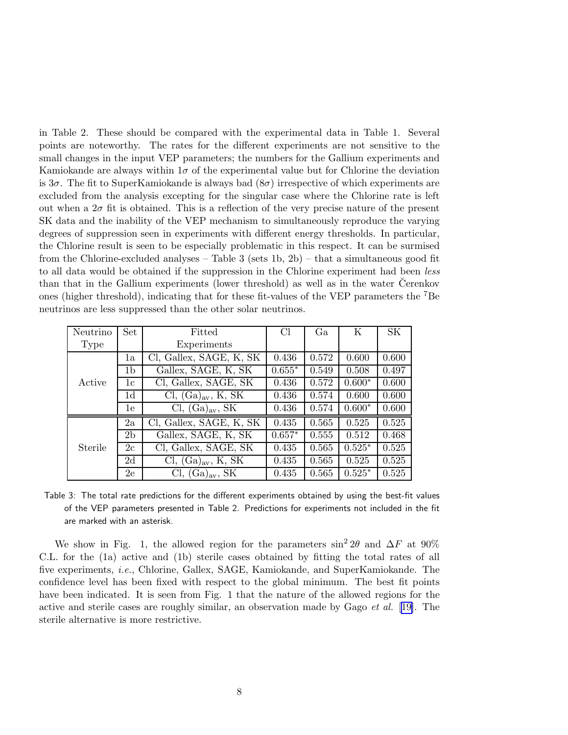in Table 2. These should be compared with the experimental data in Table 1. Several points are noteworthy. The rates for the different experiments are not sensitive to the small changes in the input VEP parameters; the numbers for the Gallium experiments and Kamiokande are always within  $1\sigma$  of the experimental value but for Chlorine the deviation is  $3\sigma$ . The fit to SuperKamiokande is always bad  $(8\sigma)$  irrespective of which experiments are excluded from the analysis excepting for the singular case where the Chlorine rate is left out when a  $2\sigma$  fit is obtained. This is a reflection of the very precise nature of the present SK data and the inability of the VEP mechanism to simultaneously reproduce the varying degrees of suppression seen in experiments with different energy thresholds. In particular, the Chlorine result is seen to be especially problematic in this respect. It can be surmised from the Chlorine-excluded analyses – Table 3 (sets 1b, 2b) – that a simultaneous good fit to all data would be obtained if the suppression in the Chlorine experiment had been less than that in the Gallium experiments (lower threshold) as well as in the water Čerenkov ones (higher threshold), indicating that for these fit-values of the VEP parameters the <sup>7</sup>Be neutrinos are less suppressed than the other solar neutrinos.

| Neutrino | Set            | Fitted                               | C <sub>1</sub> | Ga    | Κ        | <b>SK</b> |
|----------|----------------|--------------------------------------|----------------|-------|----------|-----------|
| Type     |                | Experiments                          |                |       |          |           |
|          | 1a             | Cl, Gallex, SAGE, K, SK              | 0.436          | 0.572 | 0.600    | 0.600     |
|          | 1 <sub>b</sub> | Gallex, SAGE, K, SK                  | $0.655*$       | 0.549 | 0.508    | 0.497     |
| Active   | 1c             | Cl, Gallex, SAGE, SK                 | 0.436          | 0.572 | $0.600*$ | 0.600     |
|          | 1 <sub>d</sub> | Cl, $(Ga)_{av}$ , K, SK              | 0.436          | 0.574 | 0.600    | 0.600     |
|          | 1e             | Cl, $(Ga)_{av}$ , SK                 | 0.436          | 0.574 | $0.600*$ | 0.600     |
|          | 2a             | Cl, Gallex, SAGE, K, SK              | 0.435          | 0.565 | 0.525    | 0.525     |
| Sterile  | 2 <sub>b</sub> | Gallex, SAGE, K, SK                  | $0.657*$       | 0.555 | 0.512    | 0.468     |
|          | 2c             | Cl, Gallex, SAGE, SK                 | 0.435          | 0.565 | $0.525*$ | 0.525     |
|          | 2d             | Cl, $(Ga)_{av}$ , K, $\overline{SK}$ | 0.435          | 0.565 | 0.525    | 0.525     |
|          | 2e             | $(Ga)_{av}$ , SK                     | 0.435          | 0.565 | $0.525*$ | 0.525     |

Table 3: The total rate predictions for the different experiments obtained by using the best-fit values of the VEP parameters presented in Table 2. Predictions for experiments not included in the fit are marked with an asterisk.

We show in Fig. 1, the allowed region for the parameters  $\sin^2 2\theta$  and  $\Delta F$  at 90% C.L. for the (1a) active and (1b) sterile cases obtained by fitting the total rates of all five experiments, i.e., Chlorine, Gallex, SAGE, Kamiokande, and SuperKamiokande. The confidence level has been fixed with respect to the global minimum. The best fit points have been indicated. It is seen from Fig. 1 that the nature of the allowed regions for the active and sterile cases are roughly similar, an observation made by Gago et al. [[19\]](#page-16-0). The sterile alternative is more restrictive.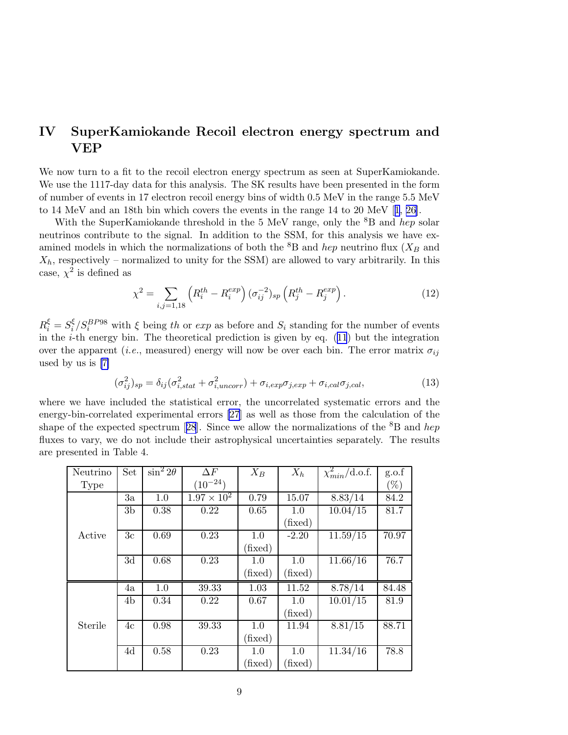# IV SuperKamiokande Recoil electron energy spectrum and VEP

We now turn to a fit to the recoil electron energy spectrum as seen at SuperKamiokande. We use the 1117-day data for this analysis. The SK results have been presented in the form of number of events in 17 electron recoil energy bins of width 0.5 MeV in the range 5.5 MeV to 14 MeV and an 18th bin which covers the events in the range 14 to 20 MeV[[1](#page-15-0), [26\]](#page-17-0).

With the SuperKamiokande threshold in the 5 MeV range, only the  ${}^{8}B$  and *hep* solar neutrinos contribute to the signal. In addition to the SSM, for this analysis we have examined models in which the normalizations of both the  ${}^{8}B$  and *hep* neutrino flux ( $X_B$  and  $X_h$ , respectively – normalized to unity for the SSM) are allowed to vary arbitrarily. In this case,  $\chi^2$  is defined as

$$
\chi^2 = \sum_{i,j=1,18} \left( R_i^{th} - R_i^{exp} \right) (\sigma_{ij}^{-2})_{sp} \left( R_j^{th} - R_j^{exp} \right). \tag{12}
$$

 $R_i^{\xi} = S_i^{\xi}$  $\frac{\xi}{i}$  /  $S_i^{BPS8}$  with  $\xi$  being th or exp as before and  $S_i$  standing for the number of events inthe  $i$ -th energy bin. The theoretical prediction is given by eq. ([11](#page-5-0)) but the integration over the apparent (*i.e.*, measured) energy will now be over each bin. The error matrix  $\sigma_{ij}$ used by us is [\[7\]](#page-16-0)

$$
(\sigma_{ij}^2)_{sp} = \delta_{ij}(\sigma_{i,stat}^2 + \sigma_{i,uncorr}^2) + \sigma_{i,exp}\sigma_{j,exp} + \sigma_{i,cal}\sigma_{j,cal},
$$
\n(13)

where we have included the statistical error, the uncorrelated systematic errors and the energy-bin-correlated experimental errors [\[27](#page-17-0)] as well as those from the calculation of the shapeof the expected spectrum [[28](#page-17-0)]. Since we allow the normalizations of the  ${}^{8}B$  and hep fluxes to vary, we do not include their astrophysical uncertainties separately. The results are presented in Table 4.

| Neutrino | Set             | $\sin^2 2\theta$ | $\Delta F$           | $X_B$   | $X_h$            | $\chi^2_{min}/\text{d.o.f.}$     | g.o.f  |
|----------|-----------------|------------------|----------------------|---------|------------------|----------------------------------|--------|
| Type     |                 |                  | $(10^{-24})$         |         |                  |                                  | $(\%)$ |
|          | 3a              | 1.0              | $1.97 \times 10^{2}$ | 0.79    | 15.07            | 8.83/14                          | 84.2   |
|          | 3 <sub>b</sub>  | 0.38             | 0.22                 | 0.65    | 1.0              | 10.04/15                         | 81.7   |
|          |                 |                  |                      |         | $(\text{fixed})$ |                                  |        |
| Active   | 3c              | 0.69             | 0.23                 | 1.0     | $-2.20$          | $11.\overline{59}/\overline{15}$ | 70.97  |
|          |                 |                  |                      | (fixed) |                  |                                  |        |
|          | $\overline{3d}$ | 0.68             | 0.23                 | 1.0     | 1.0              | 11.66/16                         | 76.7   |
|          |                 |                  |                      | (fixed) | $(\text{fixed})$ |                                  |        |
|          | 4a              | 1.0              | 39.33                | 1.03    | 11.52            | 8.78/14                          | 84.48  |
|          | 4 <sub>b</sub>  | 0.34             | 0.22                 | 0.67    | 1.0              | 10.01/15                         | 81.9   |
|          |                 |                  |                      |         | $(\text{fixed})$ |                                  |        |
| Sterile  | 4c              | 0.98             | 39.33                | 1.0     | 11.94            | 8.81/15                          | 88.71  |
|          |                 |                  |                      | (fixed) |                  |                                  |        |
|          | 4d              | 0.58             | 0.23                 | 1.0     | 1.0              | 11.34/16                         | 78.8   |
|          |                 |                  |                      | (fixed) | $(\text{fixed})$ |                                  |        |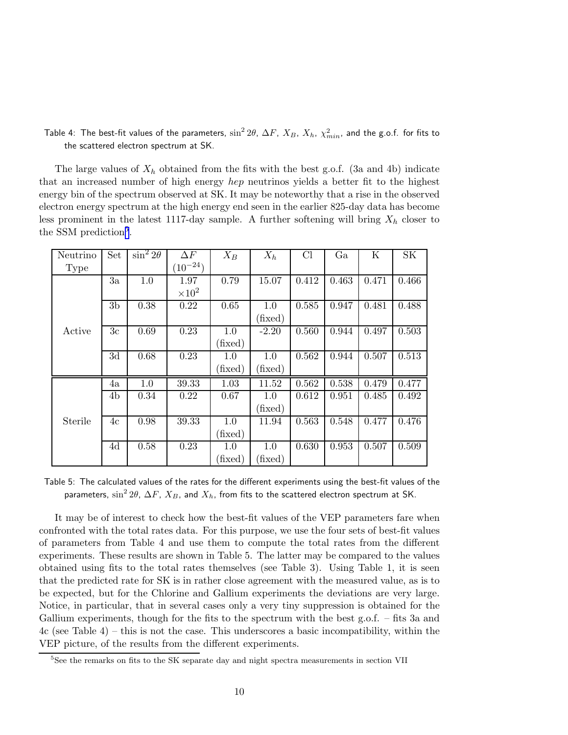Table 4: The best-fit values of the parameters,  $\sin^2 2\theta$ ,  $\Delta F$ ,  $X_B$ ,  $X_h$ ,  $\chi^2_{min}$ , and the g.o.f. for fits to the scattered electron spectrum at SK.

The large values of  $X_h$  obtained from the fits with the best g.o.f. (3a and 4b) indicate that an increased number of high energy hep neutrinos yields a better fit to the highest energy bin of the spectrum observed at SK. It may be noteworthy that a rise in the observed electron energy spectrum at the high energy end seen in the earlier 825-day data has become less prominent in the latest 1117-day sample. A further softening will bring  $X_h$  closer to the SSM prediction<sup>5</sup>.

| Neutrino | Set            | $\sin^2 2\theta$ | $\Delta F$      | $X_B$   | $X_h$   | Cl    | Ga    | Κ     | <b>SK</b> |
|----------|----------------|------------------|-----------------|---------|---------|-------|-------|-------|-----------|
| Type     |                |                  | $(10^{-24})$    |         |         |       |       |       |           |
|          | 3a             | 1.0              | 1.97            | 0.79    | 15.07   | 0.412 | 0.463 | 0.471 | 0.466     |
|          |                |                  | $\times 10^{2}$ |         |         |       |       |       |           |
|          | 3 <sub>b</sub> | 0.38             | 0.22            | 0.65    | 1.0     | 0.585 | 0.947 | 0.481 | 0.488     |
|          |                |                  |                 |         | (fixed) |       |       |       |           |
| Active   | 3 <sub>c</sub> | 0.69             | 0.23            | 1.0     | $-2.20$ | 0.560 | 0.944 | 0.497 | 0.503     |
|          |                |                  |                 | (fixed) |         |       |       |       |           |
|          | 3d             | 0.68             | 0.23            | 1.0     | 1.0     | 0.562 | 0.944 | 0.507 | 0.513     |
|          |                |                  |                 | (fixed) | (fixed) |       |       |       |           |
|          | 4a             | 1.0              | 39.33           | 1.03    | 11.52   | 0.562 | 0.538 | 0.479 | 0.477     |
|          | 4b             | 0.34             | 0.22            | 0.67    | 1.0     | 0.612 | 0.951 | 0.485 | 0.492     |
|          |                |                  |                 |         | (fixed) |       |       |       |           |
| Sterile  | 4c             | 0.98             | 39.33           | 1.0     | 11.94   | 0.563 | 0.548 | 0.477 | 0.476     |
|          |                |                  |                 | (fixed) |         |       |       |       |           |
|          | 4d             | 0.58             | 0.23            | 1.0     | 1.0     | 0.630 | 0.953 | 0.507 | 0.509     |
|          |                |                  |                 | (fixed) | (fixed) |       |       |       |           |

Table 5: The calculated values of the rates for the different experiments using the best-fit values of the parameters,  $\sin^2 2\theta$ ,  $\Delta F$ ,  $X_B$ , and  $X_h$ , from fits to the scattered electron spectrum at SK.

It may be of interest to check how the best-fit values of the VEP parameters fare when confronted with the total rates data. For this purpose, we use the four sets of best-fit values of parameters from Table 4 and use them to compute the total rates from the different experiments. These results are shown in Table 5. The latter may be compared to the values obtained using fits to the total rates themselves (see Table 3). Using Table 1, it is seen that the predicted rate for SK is in rather close agreement with the measured value, as is to be expected, but for the Chlorine and Gallium experiments the deviations are very large. Notice, in particular, that in several cases only a very tiny suppression is obtained for the Gallium experiments, though for the fits to the spectrum with the best g.o.f. – fits 3a and 4c (see Table 4) – this is not the case. This underscores a basic incompatibility, within the VEP picture, of the results from the different experiments.

<sup>&</sup>lt;sup>5</sup>See the remarks on fits to the SK separate day and night spectra measurements in section VII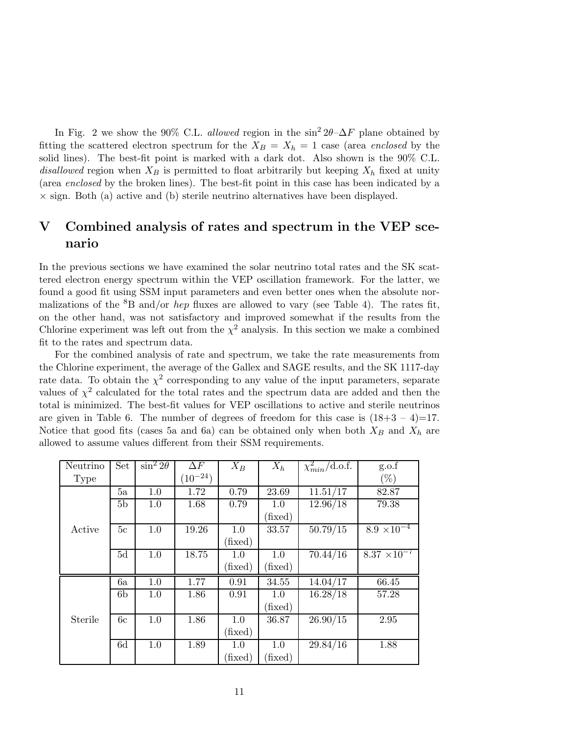In Fig. 2 we show the 90% C.L. allowed region in the  $\sin^2 2\theta - \Delta F$  plane obtained by fitting the scattered electron spectrum for the  $X_B = X_h = 1$  case (area enclosed by the solid lines). The best-fit point is marked with a dark dot. Also shown is the 90% C.L. disallowed region when  $X_B$  is permitted to float arbitrarily but keeping  $X_h$  fixed at unity (area enclosed by the broken lines). The best-fit point in this case has been indicated by a  $\times$  sign. Both (a) active and (b) sterile neutrino alternatives have been displayed.

# V Combined analysis of rates and spectrum in the VEP scenario

In the previous sections we have examined the solar neutrino total rates and the SK scattered electron energy spectrum within the VEP oscillation framework. For the latter, we found a good fit using SSM input parameters and even better ones when the absolute normalizations of the  ${}^{8}B$  and/or *hep* fluxes are allowed to vary (see Table 4). The rates fit, on the other hand, was not satisfactory and improved somewhat if the results from the Chlorine experiment was left out from the  $\chi^2$  analysis. In this section we make a combined fit to the rates and spectrum data.

For the combined analysis of rate and spectrum, we take the rate measurements from the Chlorine experiment, the average of the Gallex and SAGE results, and the SK 1117-day rate data. To obtain the  $\chi^2$  corresponding to any value of the input parameters, separate values of  $\chi^2$  calculated for the total rates and the spectrum data are added and then the total is minimized. The best-fit values for VEP oscillations to active and sterile neutrinos are given in Table 6. The number of degrees of freedom for this case is  $(18+3-4)=17$ . Notice that good fits (cases 5a and 6a) can be obtained only when both  $X_B$  and  $X_h$  are allowed to assume values different from their SSM requirements.

| Neutrino | Set            | $\sin^2 2\theta$ | $\Delta F$   | $X_B$   | $X_h$   | $\chi^2_{min}/\text{d.o.f.}$ | g.o.f                 |
|----------|----------------|------------------|--------------|---------|---------|------------------------------|-----------------------|
| Type     |                |                  | $(10^{-24})$ |         |         |                              | $(\%)$                |
|          | 5a             | 1.0              | 1.72         | 0.79    | 23.69   | 11.51/17                     | 82.87                 |
|          | 5 <sub>b</sub> | 1.0              | 1.68         | 0.79    | 1.0     | 12.96/18                     | 79.38                 |
|          |                |                  |              |         | (fixed) |                              |                       |
| Active   | 5c             | 1.0              | 19.26        | 1.0     | 33.57   | 50.79/15                     | $8.9 \times 10^{-4}$  |
|          |                |                  |              | (fixed) |         |                              |                       |
|          | 5d             | $1.0\,$          | 18.75        | 1.0     | 1.0     | 70.44/16                     | $8.37 \times 10^{-7}$ |
|          |                |                  |              | (fixed) | (fixed) |                              |                       |
|          | 6a             | 1.0              | 1.77         | 0.91    | 34.55   | 14.04/17                     | 66.45                 |
|          | 6 <sub>b</sub> | 1.0              | 1.86         | 0.91    | 1.0     | 16.28/18                     | 57.28                 |
|          |                |                  |              |         | (fixed) |                              |                       |
| Sterile  | 6c             | 1.0              | 1.86         | 1.0     | 36.87   | 26.90/15                     | 2.95                  |
|          |                |                  |              | (fixed) |         |                              |                       |
|          | 6d             | 1.0              | 1.89         | 1.0     | 1.0     | 29.84/16                     | 1.88                  |
|          |                |                  |              | (fixed) | (fixed) |                              |                       |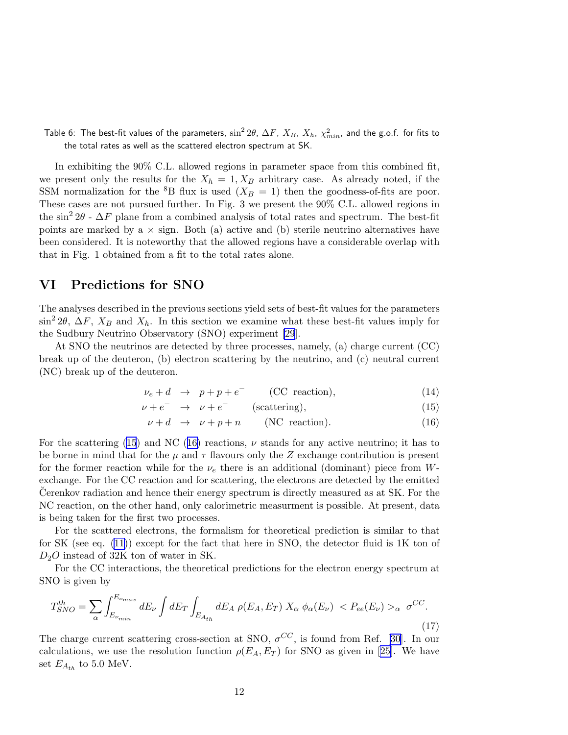<span id="page-11-0"></span>Table 6: The best-fit values of the parameters,  $\sin^2 2\theta$ ,  $\Delta F$ ,  $X_B$ ,  $X_h$ ,  $\chi^2_{min}$ , and the g.o.f. for fits to the total rates as well as the scattered electron spectrum at SK.

In exhibiting the 90% C.L. allowed regions in parameter space from this combined fit, we present only the results for the  $X_h = 1, X_B$  arbitrary case. As already noted, if the SSM normalization for the <sup>8</sup>B flux is used  $(X_B = 1)$  then the goodness-of-fits are poor. These cases are not pursued further. In Fig. 3 we present the 90% C.L. allowed regions in the  $\sin^2 2\theta$  -  $\Delta F$  plane from a combined analysis of total rates and spectrum. The best-fit points are marked by a  $\times$  sign. Both (a) active and (b) sterile neutrino alternatives have been considered. It is noteworthy that the allowed regions have a considerable overlap with that in Fig. 1 obtained from a fit to the total rates alone.

### VI Predictions for SNO

The analyses described in the previous sections yield sets of best-fit values for the parameters  $\sin^2 2\theta$ ,  $\Delta F$ ,  $X_B$  and  $X_h$ . In this section we examine what these best-fit values imply for the Sudbury Neutrino Observatory (SNO) experiment [\[29](#page-17-0)].

At SNO the neutrinos are detected by three processes, namely, (a) charge current (CC) break up of the deuteron, (b) electron scattering by the neutrino, and (c) neutral current (NC) break up of the deuteron.

$$
\nu_e + d \rightarrow p + p + e^- \qquad \text{(CC reaction)}, \tag{14}
$$

$$
\nu + e^- \rightarrow \nu + e^- \qquad \text{(scattering)}, \tag{15}
$$

$$
\nu + d \rightarrow \nu + p + n \qquad (NC \text{ reaction}). \tag{16}
$$

For the scattering (15) and NC (16) reactions,  $\nu$  stands for any active neutrino; it has to be borne in mind that for the  $\mu$  and  $\tau$  flavours only the Z exchange contribution is present for the former reaction while for the  $\nu_e$  there is an additional (dominant) piece from Wexchange. For the CC reaction and for scattering, the electrons are detected by the emitted Cerenkov radiation and hence their energy spectrum is directly measured as at SK. For the NC reaction, on the other hand, only calorimetric measurment is possible. At present, data is being taken for the first two processes.

For the scattered electrons, the formalism for theoretical prediction is similar to that for SK (see eq. [\(11](#page-5-0))) except for the fact that here in SNO, the detector fluid is 1K ton of  $D_2O$  instead of 32K ton of water in SK.

For the CC interactions, the theoretical predictions for the electron energy spectrum at SNO is given by

$$
T_{SNO}^{th} = \sum_{\alpha} \int_{E_{\nu_{min}}}^{E_{\nu_{max}}} dE_{\nu} \int dE_{T} \int_{E_{A_{th}}} dE_{A} \rho(E_{A}, E_{T}) X_{\alpha} \phi_{\alpha}(E_{\nu}) < P_{ee}(E_{\nu}) >_{\alpha} \sigma^{CC}.\tag{17}
$$

The charge current scattering cross-section at SNO,  $\sigma^{CC}$ , is found from Ref. [\[30\]](#page-17-0). In our calculations, we use the resolution function  $\rho(E_A, E_T)$  for SNO as given in [\[25\]](#page-17-0). We have set  $E_{A_{th}}$  to 5.0 MeV.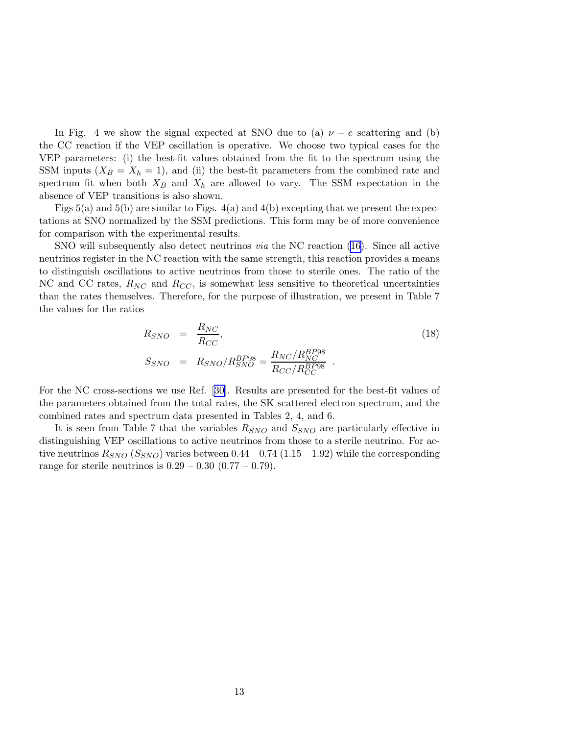In Fig. 4 we show the signal expected at SNO due to (a)  $\nu - e$  scattering and (b) the CC reaction if the VEP oscillation is operative. We choose two typical cases for the VEP parameters: (i) the best-fit values obtained from the fit to the spectrum using the SSM inputs  $(X_B = X_h = 1)$ , and (ii) the best-fit parameters from the combined rate and spectrum fit when both  $X_B$  and  $X_h$  are allowed to vary. The SSM expectation in the absence of VEP transitions is also shown.

Figs  $5(a)$  and  $5(b)$  are similar to Figs.  $4(a)$  and  $4(b)$  excepting that we present the expectations at SNO normalized by the SSM predictions. This form may be of more convenience for comparison with the experimental results.

SNO will subsequently also detect neutrinos *via* the NC reaction [\(16\)](#page-11-0). Since all active neutrinos register in the NC reaction with the same strength, this reaction provides a means to distinguish oscillations to active neutrinos from those to sterile ones. The ratio of the NC and CC rates,  $R_{NC}$  and  $R_{CC}$ , is somewhat less sensitive to theoretical uncertainties than the rates themselves. Therefore, for the purpose of illustration, we present in Table 7 the values for the ratios

$$
R_{SNO} = \frac{R_{NC}}{R_{CC}},
$$
  
\n
$$
S_{SNO} = R_{SNO}/R_{SNO}^{BP98} = \frac{R_{NC}/R_{NC}^{BP98}}{R_{CC}/R_{CC}^{BP98}}.
$$
\n(18)

For the NC cross-sections we use Ref. [\[30](#page-17-0)]. Results are presented for the best-fit values of the parameters obtained from the total rates, the SK scattered electron spectrum, and the combined rates and spectrum data presented in Tables 2, 4, and 6.

It is seen from Table 7 that the variables  $R_{SNO}$  and  $S_{SNO}$  are particularly effective in distinguishing VEP oscillations to active neutrinos from those to a sterile neutrino. For active neutrinos  $R_{SNO}$  ( $S_{SNO}$ ) varies between 0.44 – 0.74 (1.15 – 1.92) while the corresponding range for sterile neutrinos is  $0.29 - 0.30 (0.77 - 0.79)$ .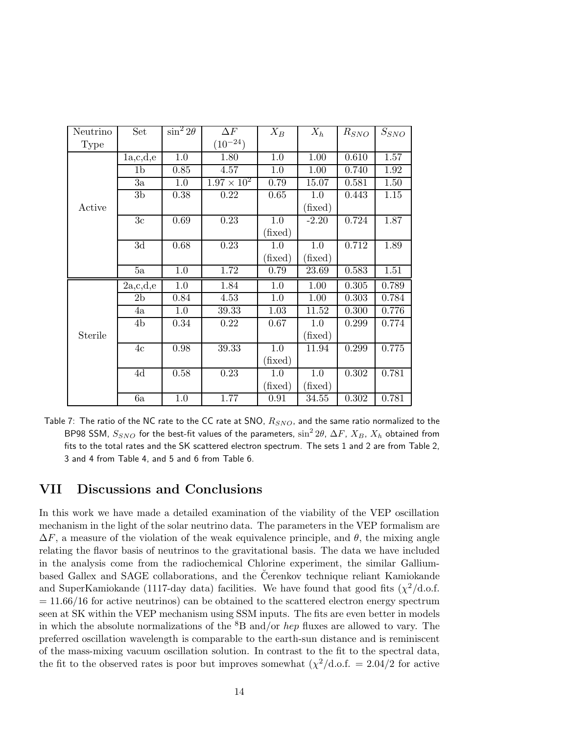| Neutrino    | Set            | $\sin^2 2\theta$ | $\Delta F$           | $X_B$   | $X_h$    | $R_{SNO}$          | $S_{SNO}$ |
|-------------|----------------|------------------|----------------------|---------|----------|--------------------|-----------|
| <b>Type</b> |                |                  | $(10^{-24})$         |         |          |                    |           |
|             | 1a,c,d,e       | 1.0              | 1.80                 | $1.0\,$ | $1.00\,$ | 0.610              | 1.57      |
|             | 1 <sub>b</sub> | 0.85             | 4.57                 | 1.0     | 1.00     | 0.740              | 1.92      |
|             | 3a             | 1.0              | $1.97 \times 10^{2}$ | 0.79    | 15.07    | 0.581              | 1.50      |
|             | 3 <sub>b</sub> | 0.38             | 0.22                 | 0.65    | 1.0      | 0.443              | 1.15      |
| Active      |                |                  |                      |         | (fixed)  |                    |           |
|             | 3c             | 0.69             | $\overline{0.23}$    | 1.0     | $-2.20$  | 0.724              | 1.87      |
|             |                |                  |                      | (fixed) |          |                    |           |
|             | 3d             | 0.68             | 0.23                 | 1.0     | 1.0      | 0.712              | 1.89      |
|             |                |                  |                      | (fixed) | (fixed)  |                    |           |
|             | 5a             | 1.0              | 1.72                 | 0.79    | 23.69    | 0.583              | 1.51      |
|             | 2a,c,d,e       | 1.0              | 1.84                 | 1.0     | 1.00     | 0.305              | 0.789     |
|             | 2 <sub>b</sub> | 0.84             | 4.53                 | 1.0     | 1.00     | 0.303              | 0.784     |
|             | 4a             | 1.0              | 39.33                | 1.03    | 11.52    | $0.300\,$          | 0.776     |
|             | 4 <sub>b</sub> | 0.34             | 0.22                 | 0.67    | 1.0      | 0.299              | 0.774     |
| Sterile     |                |                  |                      |         | (fixed)  |                    |           |
|             | 4c             | 0.98             | 39.33                | $1.0\,$ | 11.94    | $\overline{0.299}$ | 0.775     |
|             |                |                  |                      | (fixed) |          |                    |           |
|             | 4d             | 0.58             | 0.23                 | 1.0     | 1.0      | 0.302              | 0.781     |
|             |                |                  |                      | (fixed) | (fixed)  |                    |           |
|             | 6a             | $1.0\,$          | 1.77                 | 0.91    | 34.55    | 0.302              | 0.781     |

Table 7: The ratio of the NC rate to the CC rate at SNO,  $R_{SNO}$ , and the same ratio normalized to the BP98 SSM,  $S_{SNO}$  for the best-fit values of the parameters,  $\sin^2 2\theta$ ,  $\Delta F$ ,  $X_B$ ,  $X_h$  obtained from fits to the total rates and the SK scattered electron spectrum. The sets 1 and 2 are from Table 2, 3 and 4 from Table 4, and 5 and 6 from Table 6.

# VII Discussions and Conclusions

In this work we have made a detailed examination of the viability of the VEP oscillation mechanism in the light of the solar neutrino data. The parameters in the VEP formalism are  $\Delta F$ , a measure of the violation of the weak equivalence principle, and  $\theta$ , the mixing angle relating the flavor basis of neutrinos to the gravitational basis. The data we have included in the analysis come from the radiochemical Chlorine experiment, the similar Galliumbased Gallex and SAGE collaborations, and the Čerenkov technique reliant Kamiokande and SuperKamiokande (1117-day data) facilities. We have found that good fits  $(\chi^2/\text{d.o.f.})$  $= 11.66/16$  for active neutrinos) can be obtained to the scattered electron energy spectrum seen at SK within the VEP mechanism using SSM inputs. The fits are even better in models in which the absolute normalizations of the  ${}^{8}B$  and/or *hep* fluxes are allowed to vary. The preferred oscillation wavelength is comparable to the earth-sun distance and is reminiscent of the mass-mixing vacuum oscillation solution. In contrast to the fit to the spectral data, the fit to the observed rates is poor but improves somewhat  $(\chi^2/d.o.f. = 2.04/2$  for active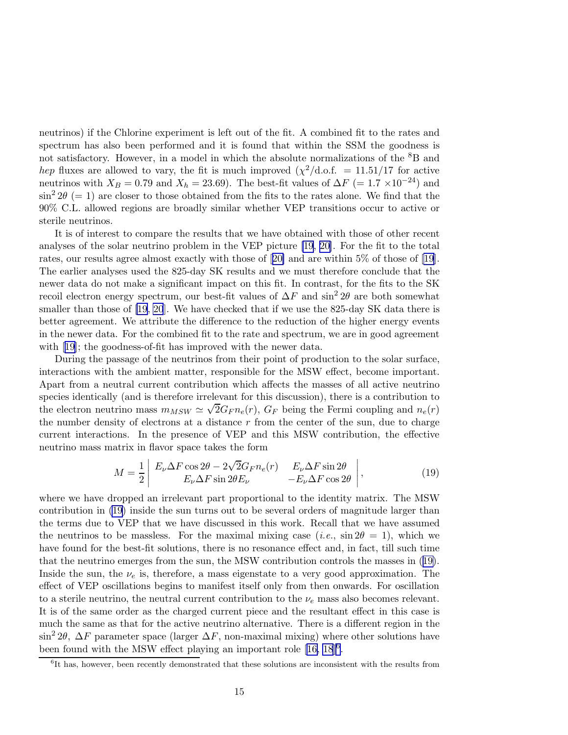neutrinos) if the Chlorine experiment is left out of the fit. A combined fit to the rates and spectrum has also been performed and it is found that within the SSM the goodness is not satisfactory. However, in a model in which the absolute normalizations of the <sup>8</sup>B and hep fluxes are allowed to vary, the fit is much improved  $(\chi^2/\text{d.o.f.} = 11.51/17$  for active neutrinos with  $X_B = 0.79$  and  $X_h = 23.69$ ). The best-fit values of  $\Delta F = 1.7 \times 10^{-24}$  and  $\sin^2 2\theta (= 1)$  are closer to those obtained from the fits to the rates alone. We find that the 90% C.L. allowed regions are broadly similar whether VEP transitions occur to active or sterile neutrinos.

It is of interest to compare the results that we have obtained with those of other recent analyses of the solar neutrino problem in the VEP picture [\[19](#page-16-0), [20\]](#page-17-0). For the fit to the total rates, our results agree almost exactly with those of[[20\]](#page-17-0) and are within 5% of those of [\[19\]](#page-16-0). The earlier analyses used the 825-day SK results and we must therefore conclude that the newer data do not make a significant impact on this fit. In contrast, for the fits to the SK recoil electron energy spectrum, our best-fit values of  $\Delta F$  and sin<sup>2</sup> 2θ are both somewhat smaller than those of [\[19](#page-16-0), [20](#page-17-0)]. We have checked that if we use the 825-day SK data there is better agreement. We attribute the difference to the reduction of the higher energy events in the newer data. For the combined fit to the rate and spectrum, we are in good agreement with[[19\]](#page-16-0); the goodness-of-fit has improved with the newer data.

During the passage of the neutrinos from their point of production to the solar surface, interactions with the ambient matter, responsible for the MSW effect, become important. Apart from a neutral current contribution which affects the masses of all active neutrino species identically (and is therefore irrelevant for this discussion), there is a contribution to the electron neutrino mass  $m_{MSW} \simeq \sqrt{2}G_F n_e(r)$ ,  $G_F$  being the Fermi coupling and  $n_e(r)$ the number density of electrons at a distance  $r$  from the center of the sun, due to charge current interactions. In the presence of VEP and this MSW contribution, the effective neutrino mass matrix in flavor space takes the form

$$
M = \frac{1}{2} \begin{vmatrix} E_{\nu} \Delta F \cos 2\theta - 2\sqrt{2} G_F n_e(r) & E_{\nu} \Delta F \sin 2\theta \\ E_{\nu} \Delta F \sin 2\theta E_{\nu} & -E_{\nu} \Delta F \cos 2\theta \end{vmatrix},
$$
(19)

where we have dropped an irrelevant part proportional to the identity matrix. The MSW contribution in (19) inside the sun turns out to be several orders of magnitude larger than the terms due to VEP that we have discussed in this work. Recall that we have assumed the neutrinos to be massless. For the maximal mixing case (*i.e.*,  $\sin 2\theta = 1$ ), which we have found for the best-fit solutions, there is no resonance effect and, in fact, till such time that the neutrino emerges from the sun, the MSW contribution controls the masses in (19). Inside the sun, the  $\nu_e$  is, therefore, a mass eigenstate to a very good approximation. The effect of VEP oscillations begins to manifest itself only from then onwards. For oscillation to a sterile neutrino, the neutral current contribution to the  $\nu_e$  mass also becomes relevant. It is of the same order as the charged current piece and the resultant effect in this case is much the same as that for the active neutrino alternative. There is a different region in the  $\sin^2 2\theta$ ,  $\Delta F$  parameter space (larger  $\Delta F$ , non-maximal mixing) where other solutions have beenfound with the MSW effect playing an important role  $[16, 18]$  $[16, 18]$  $[16, 18]$ <sup>6</sup>.

<sup>&</sup>lt;sup>6</sup>It has, however, been recently demonstrated that these solutions are inconsistent with the results from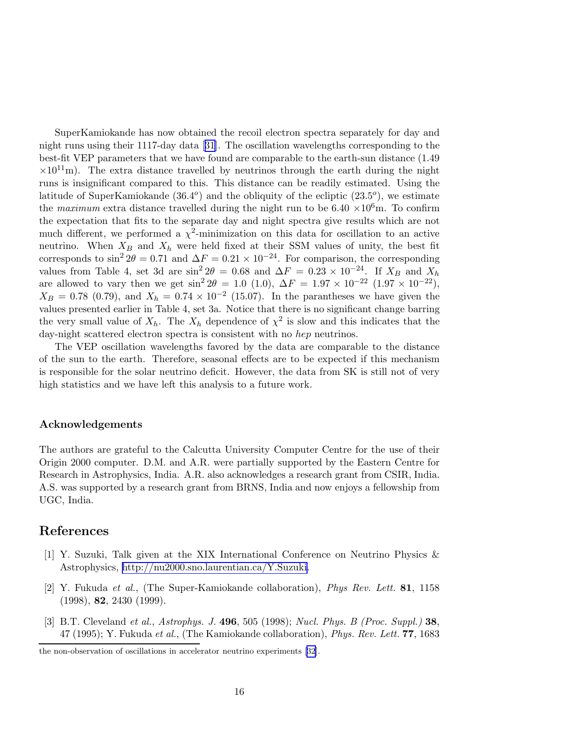<span id="page-15-0"></span>SuperKamiokande has now obtained the recoil electron spectra separately for day and night runs using their 1117-day data[[31\]](#page-17-0). The oscillation wavelengths corresponding to the best-fit VEP parameters that we have found are comparable to the earth-sun distance (1.49  $\times 10^{11}$ m). The extra distance travelled by neutrinos through the earth during the night runs is insignificant compared to this. This distance can be readily estimated. Using the latitude of SuperKamiokande  $(36.4^{\circ})$  and the obliquity of the ecliptic  $(23.5^{\circ})$ , we estimate the *maximum* extra distance travelled during the night run to be  $6.40 \times 10^6$ m. To confirm the expectation that fits to the separate day and night spectra give results which are not much different, we performed a  $\chi^2$ -minimization on this data for oscillation to an active neutrino. When  $X_B$  and  $X_h$  were held fixed at their SSM values of unity, the best fit corresponds to  $\sin^2 2\theta = 0.71$  and  $\Delta F = 0.21 \times 10^{-24}$ . For comparison, the corresponding values from Table 4, set 3d are  $\sin^2 2\theta = 0.68$  and  $\Delta F = 0.23 \times 10^{-24}$ . If  $X_B$  and  $X_B$ are allowed to vary then we get  $\sin^2 2\theta = 1.0$  (1.0),  $\Delta F = 1.97 \times 10^{-22}$  (1.97 × 10<sup>-22</sup>),  $X_B = 0.78$  (0.79), and  $X_h = 0.74 \times 10^{-2}$  (15.07). In the parantheses we have given the values presented earlier in Table 4, set 3a. Notice that there is no significant change barring the very small value of  $X_h$ . The  $X_h$  dependence of  $\chi^2$  is slow and this indicates that the day-night scattered electron spectra is consistent with no hep neutrinos.

The VEP oscillation wavelengths favored by the data are comparable to the distance of the sun to the earth. Therefore, seasonal effects are to be expected if this mechanism is responsible for the solar neutrino deficit. However, the data from SK is still not of very high statistics and we have left this analysis to a future work.

#### Acknowledgements

The authors are grateful to the Calcutta University Computer Centre for the use of their Origin 2000 computer. D.M. and A.R. were partially supported by the Eastern Centre for Research in Astrophysics, India. A.R. also acknowledges a research grant from CSIR, India. A.S. was supported by a research grant from BRNS, India and now enjoys a fellowship from UGC, India.

### References

- [1] Y. Suzuki, Talk given at the XIX International Conference on Neutrino Physics & Astrophysics, [http://nu2000.sno.laurentian.ca/Y.Suzuki.](http://nu2000.sno.laurentian.ca/Y.Suzuki)
- [2] Y. Fukuda et al., (The Super-Kamiokande collaboration), Phys Rev. Lett. 81, 1158  $(1998), 82, 2430 (1999).$
- [3] B.T. Cleveland et al., Astrophys. J. 496, 505 (1998); Nucl. Phys. B (Proc. Suppl.) 38,  $47$  (1995); Y. Fukuda et al., (The Kamiokande collaboration), *Phys. Rev. Lett.* **77**, 1683

the non-observation of oscillations in accelerator neutrino experiments[[32](#page-17-0)].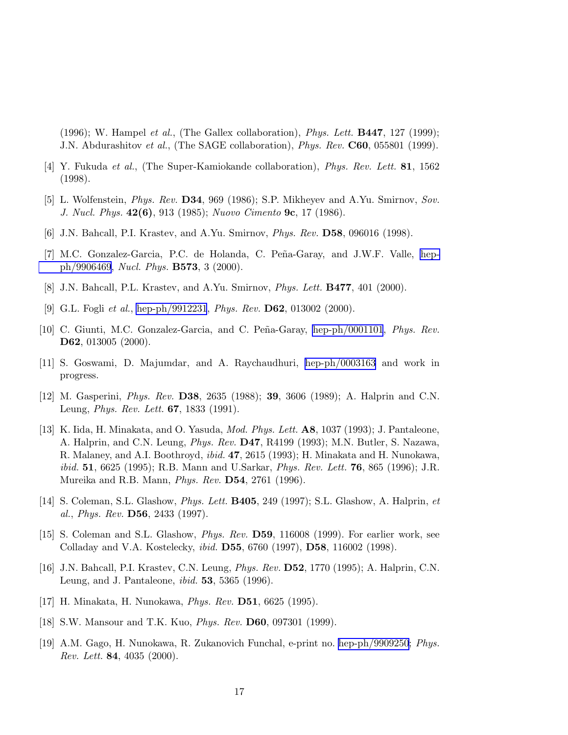<span id="page-16-0"></span> $(1996)$ ; W. Hampel *et al.*, (The Gallex collaboration), *Phys. Lett.* **B447**, 127 (1999); J.N. Abdurashitov et al., (The SAGE collaboration), Phys. Rev. C60, 055801 (1999).

- [4] Y. Fukuda et al., (The Super-Kamiokande collaboration), Phys. Rev. Lett. 81, 1562 (1998).
- [5] L. Wolfenstein, Phys. Rev. D34, 969 (1986); S.P. Mikheyev and A.Yu. Smirnov, Sov. J. Nucl. Phys. 42(6), 913 (1985); Nuovo Cimento 9c, 17 (1986).
- [6] J.N. Bahcall, P.I. Krastev, and A.Yu. Smirnov, Phys. Rev. D58, 096016 (1998).
- [7] M.C. Gonzalez-Garcia, P.C. de Holanda, C. Peña-Garay, and J.W.F. Valle, [hep](http://arxiv.org/abs/hep-ph/9906469)[ph/9906469,](http://arxiv.org/abs/hep-ph/9906469) Nucl. Phys. B573, 3 (2000).
- [8] J.N. Bahcall, P.L. Krastev, and A.Yu. Smirnov, Phys. Lett. B477, 401 (2000).
- [9] G.L. Fogli et al., [hep-ph/9912231](http://arxiv.org/abs/hep-ph/9912231), Phys. Rev. **D62**, 013002 (2000).
- [10] C. Giunti, M.C. Gonzalez-Garcia, and C. Peña-Garay, [hep-ph/0001101](http://arxiv.org/abs/hep-ph/0001101), Phys. Rev. D62, 013005 (2000).
- [11] S. Goswami, D. Majumdar, and A. Raychaudhuri, [hep-ph/0003163](http://arxiv.org/abs/hep-ph/0003163) and work in progress.
- [12] M. Gasperini, Phys. Rev. D38, 2635 (1988); 39, 3606 (1989); A. Halprin and C.N. Leung, Phys. Rev. Lett. 67, 1833 (1991).
- [13] K. Iida, H. Minakata, and O. Yasuda, Mod. Phys. Lett. A8, 1037 (1993); J. Pantaleone, A. Halprin, and C.N. Leung, *Phys. Rev.* **D47**, R4199 (1993); M.N. Butler, S. Nazawa, R. Malaney, and A.I. Boothroyd, ibid. 47, 2615 (1993); H. Minakata and H. Nunokawa, *ibid.* 51, 6625 (1995); R.B. Mann and U.Sarkar, *Phys. Rev. Lett.* 76, 865 (1996); J.R. Mureika and R.B. Mann, Phys. Rev. D54, 2761 (1996).
- [14] S. Coleman, S.L. Glashow, Phys. Lett. B405, 249 (1997); S.L. Glashow, A. Halprin, et al., Phys. Rev.  $\bf{D56}$ , 2433 (1997).
- [15] S. Coleman and S.L. Glashow, Phys. Rev. D59, 116008 (1999). For earlier work, see Colladay and V.A. Kostelecky, ibid. D55, 6760 (1997), D58, 116002 (1998).
- [16] J.N. Bahcall, P.I. Krastev, C.N. Leung, Phys. Rev. D52, 1770 (1995); A. Halprin, C.N. Leung, and J. Pantaleone, ibid. 53, 5365 (1996).
- [17] H. Minakata, H. Nunokawa, Phys. Rev. D51, 6625 (1995).
- [18] S.W. Mansour and T.K. Kuo, Phys. Rev. D60, 097301 (1999).
- [19] A.M. Gago, H. Nunokawa, R. Zukanovich Funchal, e-print no. [hep-ph/9909250](http://arxiv.org/abs/hep-ph/9909250); Phys. Rev. Lett. 84, 4035 (2000).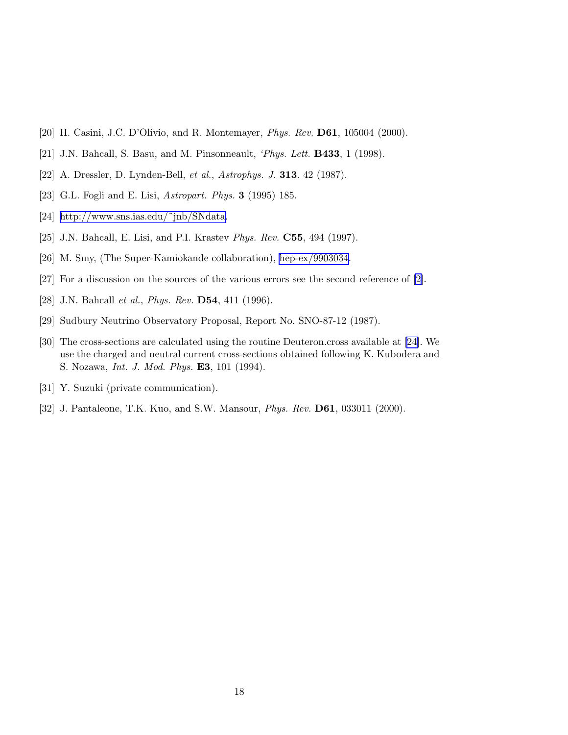- <span id="page-17-0"></span>[20] H. Casini, J.C. D'Olivio, and R. Montemayer, Phys. Rev. D61, 105004 (2000).
- [21] J.N. Bahcall, S. Basu, and M. Pinsonneault, *'Phys. Lett.* **B433**, 1 (1998).
- [22] A. Dressler, D. Lynden-Bell, et al., Astrophys. J. 313. 42 (1987).
- [23] G.L. Fogli and E. Lisi, *Astropart. Phys.* **3** (1995) 185.
- [24] [http://www.sns.ias.edu/˜jnb/SNdata.](http://www.sns.ias.edu/~jnb/SNdata)
- [25] J.N. Bahcall, E. Lisi, and P.I. Krastev Phys. Rev. C55, 494 (1997).
- [26] M. Smy, (The Super-Kamiokande collaboration), [hep-ex/9903034.](http://arxiv.org/abs/hep-ex/9903034)
- [27] For a discussion on the sources of the various errors see the second reference of [\[2\]](#page-15-0).
- [28] J.N. Bahcall et al., Phys. Rev. D54, 411 (1996).
- [29] Sudbury Neutrino Observatory Proposal, Report No. SNO-87-12 (1987).
- [30] The cross-sections are calculated using the routine Deuteron.cross available at [24]. We use the charged and neutral current cross-sections obtained following K. Kubodera and S. Nozawa, Int. J. Mod. Phys. E3, 101 (1994).
- [31] Y. Suzuki (private communication).
- [32] J. Pantaleone, T.K. Kuo, and S.W. Mansour, Phys. Rev. D61, 033011 (2000).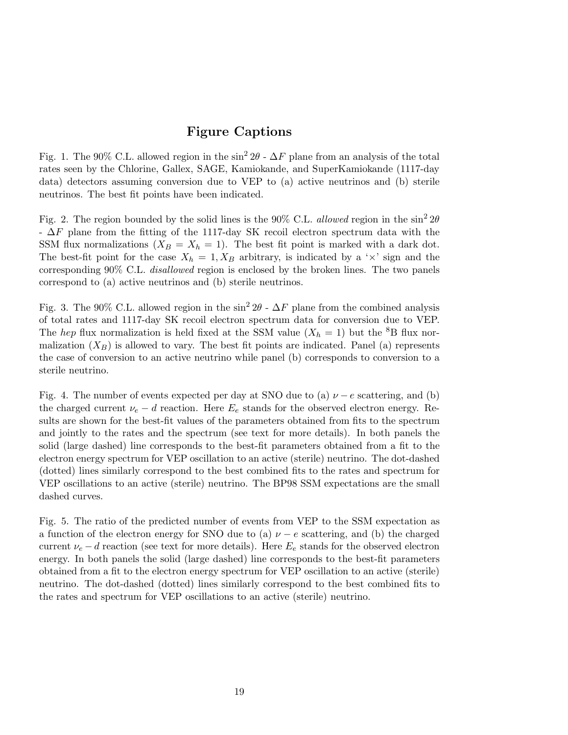# Figure Captions

Fig. 1. The 90% C.L. allowed region in the sin<sup>2</sup> 2 $\theta$  -  $\Delta F$  plane from an analysis of the total rates seen by the Chlorine, Gallex, SAGE, Kamiokande, and SuperKamiokande (1117-day data) detectors assuming conversion due to VEP to (a) active neutrinos and (b) sterile neutrinos. The best fit points have been indicated.

Fig. 2. The region bounded by the solid lines is the 90% C.L. allowed region in the  $\sin^2 2\theta$  $-\Delta F$  plane from the fitting of the 1117-day SK recoil electron spectrum data with the SSM flux normalizations  $(X_B = X_h = 1)$ . The best fit point is marked with a dark dot. The best-fit point for the case  $X_h = 1, X_B$  arbitrary, is indicated by a ' $\times$ ' sign and the corresponding 90% C.L. disallowed region is enclosed by the broken lines. The two panels correspond to (a) active neutrinos and (b) sterile neutrinos.

Fig. 3. The 90% C.L. allowed region in the sin<sup>2</sup> 2 $\theta$  -  $\Delta F$  plane from the combined analysis of total rates and 1117-day SK recoil electron spectrum data for conversion due to VEP. The hep flux normalization is held fixed at the SSM value  $(X_h = 1)$  but the <sup>8</sup>B flux normalization  $(X_B)$  is allowed to vary. The best fit points are indicated. Panel (a) represents the case of conversion to an active neutrino while panel (b) corresponds to conversion to a sterile neutrino.

Fig. 4. The number of events expected per day at SNO due to (a)  $\nu - e$  scattering, and (b) the charged current  $\nu_e - d$  reaction. Here  $E_e$  stands for the observed electron energy. Results are shown for the best-fit values of the parameters obtained from fits to the spectrum and jointly to the rates and the spectrum (see text for more details). In both panels the solid (large dashed) line corresponds to the best-fit parameters obtained from a fit to the electron energy spectrum for VEP oscillation to an active (sterile) neutrino. The dot-dashed (dotted) lines similarly correspond to the best combined fits to the rates and spectrum for VEP oscillations to an active (sterile) neutrino. The BP98 SSM expectations are the small dashed curves.

Fig. 5. The ratio of the predicted number of events from VEP to the SSM expectation as a function of the electron energy for SNO due to (a)  $\nu - e$  scattering, and (b) the charged current  $\nu_e - d$  reaction (see text for more details). Here  $E_e$  stands for the observed electron energy. In both panels the solid (large dashed) line corresponds to the best-fit parameters obtained from a fit to the electron energy spectrum for VEP oscillation to an active (sterile) neutrino. The dot-dashed (dotted) lines similarly correspond to the best combined fits to the rates and spectrum for VEP oscillations to an active (sterile) neutrino.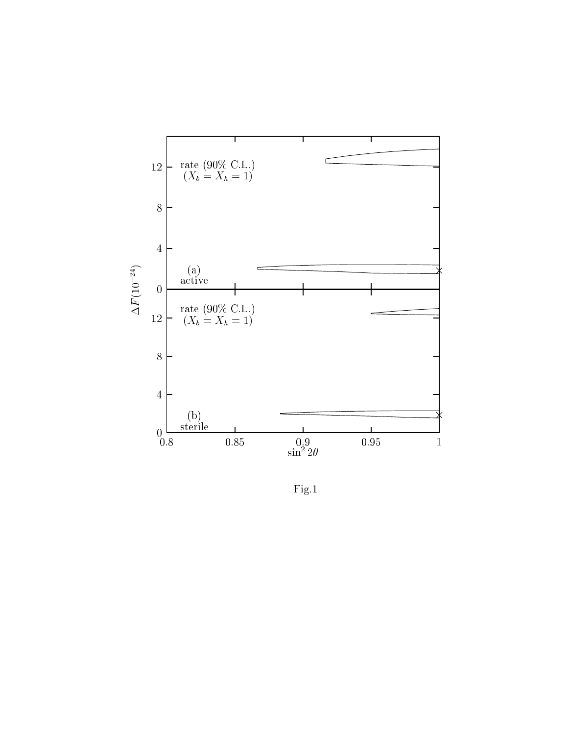

Fig.1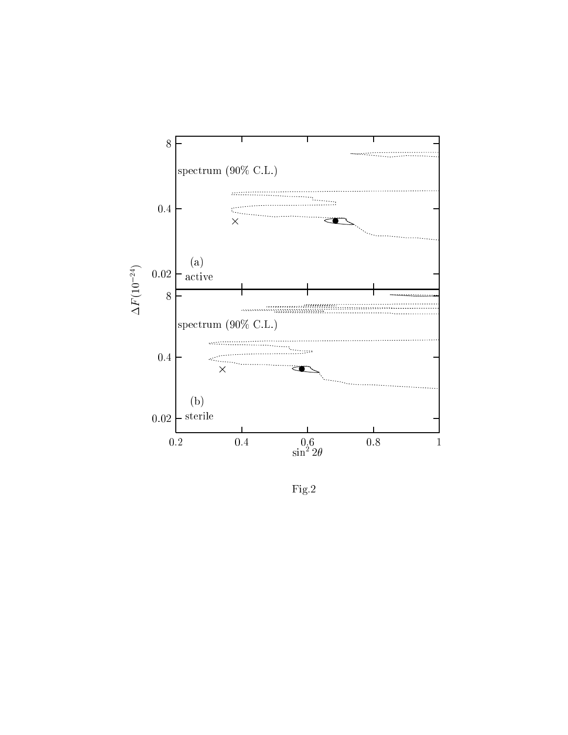

 ${\rm Fig.2}$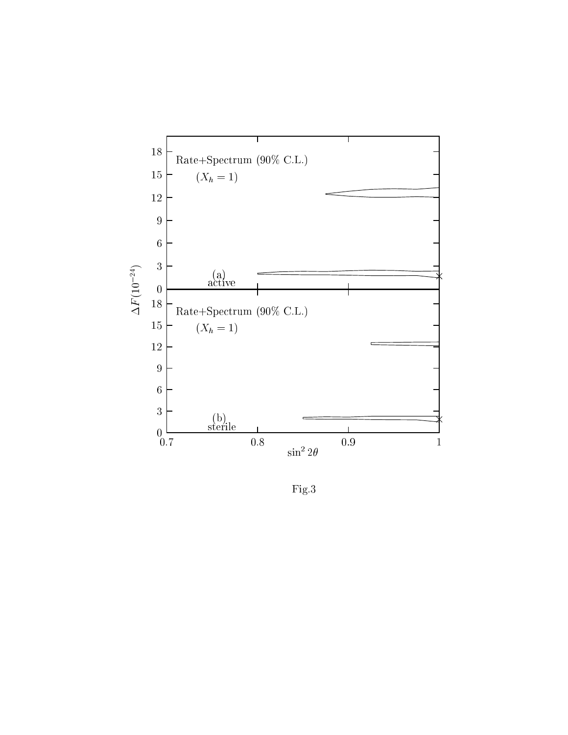

 ${\rm Fig.3}$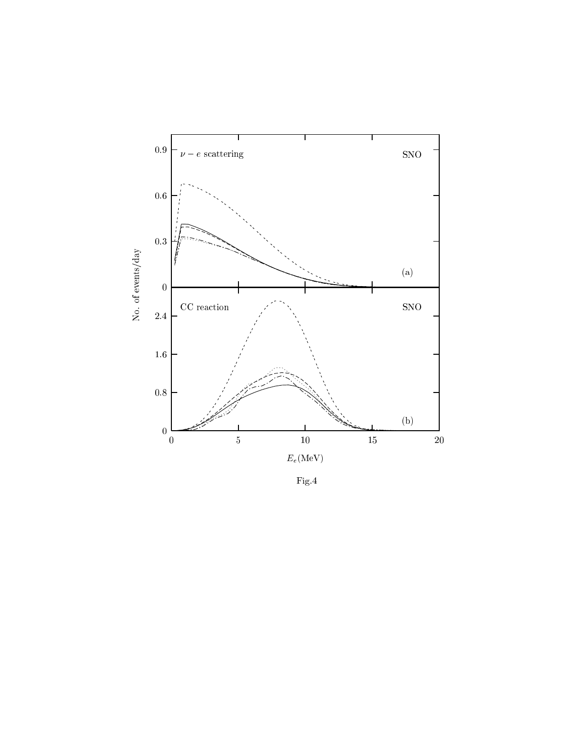

Fig.4